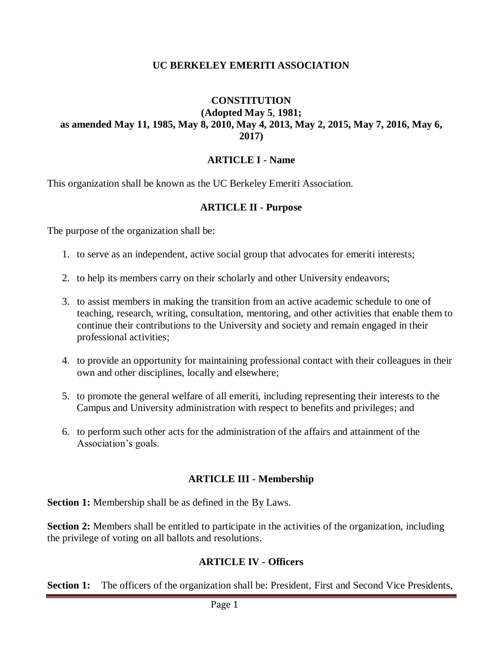### **UC BERKELEY EMERITI ASSOCIATION**

### **CONSTITUTION (Adopted May 5**, **1981; as amended May 11, 1985, May 8, 2010, May 4, 2013, May 2, 2015, May 7, 2016, May 6, 2017)**

### **ARTICLE I - Name**

This organization shall be known as the UC Berkeley Emeriti Association.

#### **ARTICLE II - Purpose**

The purpose of the organization shall be:

- 1. to serve as an independent, active social group that advocates for emeriti interests;
- 2. to help its members carry on their scholarly and other University endeavors;
- 3. to assist members in making the transition from an active academic schedule to one of teaching, research, writing, consultation, mentoring, and other activities that enable them to continue their contributions to the University and society and remain engaged in their professional activities;
- 4. to provide an opportunity for maintaining professional contact with their colleagues in their own and other disciplines, locally and elsewhere;
- 5. to promote the general welfare of all emeriti, including representing their interests to the Campus and University administration with respect to benefits and privileges; and
- 6. to perform such other acts for the administration of the affairs and attainment of the Association's goals.

### **ARTICLE III - Membership**

**Section 1:** Membership shall be as defined in the By Laws.

**Section 2:** Members shall be entitled to participate in the activities of the organization, including the privilege of voting on all ballots and resolutions.

### **ARTICLE IV - Officers**

**Section 1:** The officers of the organization shall be: President, First and Second Vice Presidents,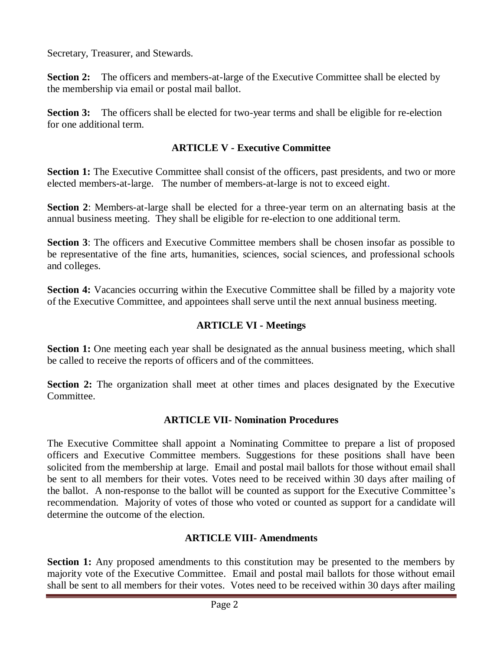Secretary, Treasurer, and Stewards.

**Section 2:** The officers and members-at-large of the Executive Committee shall be elected by the membership via email or postal mail ballot.

**Section 3:** The officers shall be elected for two-year terms and shall be eligible for re-election for one additional term.

## **ARTICLE V - Executive Committee**

**Section 1:** The Executive Committee shall consist of the officers, past presidents, and two or more elected members-at-large. The number of members-at-large is not to exceed eight.

**Section 2**: Members-at-large shall be elected for a three-year term on an alternating basis at the annual business meeting. They shall be eligible for re-election to one additional term.

**Section 3**: The officers and Executive Committee members shall be chosen insofar as possible to be representative of the fine arts, humanities, sciences, social sciences, and professional schools and colleges.

**Section 4:** Vacancies occurring within the Executive Committee shall be filled by a majority vote of the Executive Committee, and appointees shall serve until the next annual business meeting.

# **ARTICLE VI - Meetings**

**Section 1:** One meeting each year shall be designated as the annual business meeting, which shall be called to receive the reports of officers and of the committees.

**Section 2:** The organization shall meet at other times and places designated by the Executive Committee.

## **ARTICLE VII- Nomination Procedures**

The Executive Committee shall appoint a Nominating Committee to prepare a list of proposed officers and Executive Committee members. Suggestions for these positions shall have been solicited from the membership at large. Email and postal mail ballots for those without email shall be sent to all members for their votes. Votes need to be received within 30 days after mailing of the ballot. A non-response to the ballot will be counted as support for the Executive Committee's recommendation. Majority of votes of those who voted or counted as support for a candidate will determine the outcome of the election.

## **ARTICLE VIII- Amendments**

**Section 1:** Any proposed amendments to this constitution may be presented to the members by majority vote of the Executive Committee. Email and postal mail ballots for those without email shall be sent to all members for their votes. Votes need to be received within 30 days after mailing